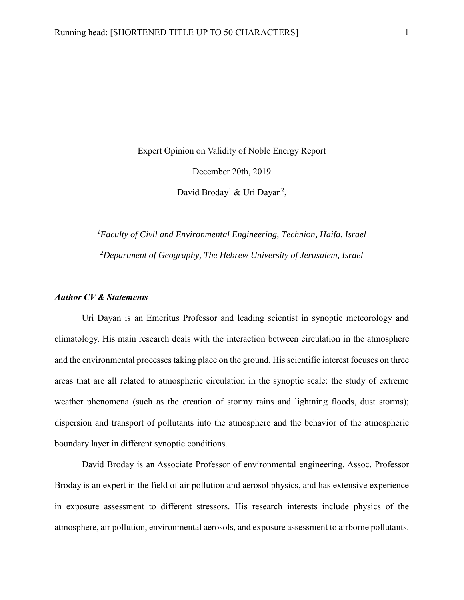Expert Opinion on Validity of Noble Energy Report December 20th, 2019 David Broday<sup>1</sup> & Uri Dayan<sup>2</sup>,

*<sup>1</sup>Faculty of Civil and Environmental Engineering, Technion, Haifa, Israel <sup>2</sup>Department of Geography, The Hebrew University of Jerusalem, Israel*

# *Author CV & Statements*

Uri Dayan is an Emeritus Professor and leading scientist in synoptic meteorology and climatology. His main research deals with the interaction between circulation in the atmosphere and the environmental processes taking place on the ground. His scientific interest focuses on three areas that are all related to atmospheric circulation in the synoptic scale: the study of extreme weather phenomena (such as the creation of stormy rains and lightning floods, dust storms); dispersion and transport of pollutants into the atmosphere and the behavior of the atmospheric boundary layer in different synoptic conditions.

David Broday is an Associate Professor of environmental engineering. Assoc. Professor Broday is an expert in the field of air pollution and aerosol physics, and has extensive experience in exposure assessment to different stressors. His research interests include physics of the atmosphere, air pollution, environmental aerosols, and exposure assessment to airborne pollutants.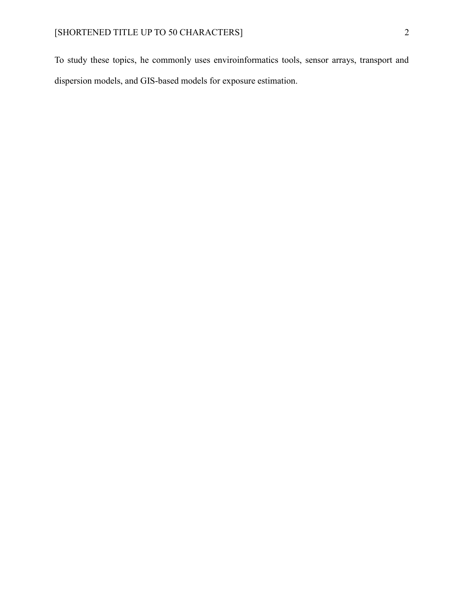To study these topics, he commonly uses enviroinformatics tools, sensor arrays, transport and dispersion models, and GIS-based models for exposure estimation.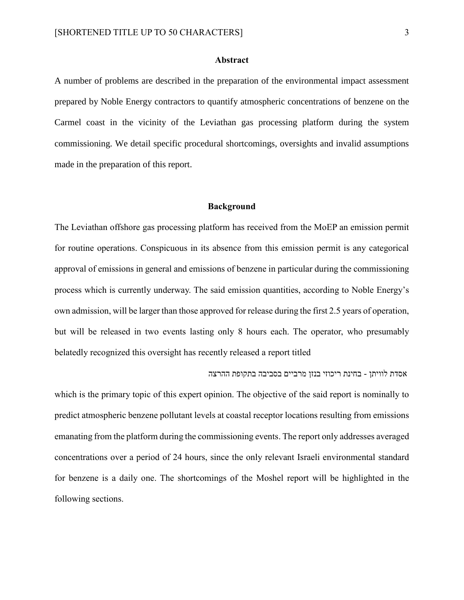### **Abstract**

A number of problems are described in the preparation of the environmental impact assessment prepared by Noble Energy contractors to quantify atmospheric concentrations of benzene on the Carmel coast in the vicinity of the Leviathan gas processing platform during the system commissioning. We detail specific procedural shortcomings, oversights and invalid assumptions made in the preparation of this report.

#### **Background**

The Leviathan offshore gas processing platform has received from the MoEP an emission permit for routine operations. Conspicuous in its absence from this emission permit is any categorical approval of emissions in general and emissions of benzene in particular during the commissioning process which is currently underway. The said emission quantities, according to Noble Energy's own admission, will be larger than those approved for release during the first 2.5 years of operation, but will be released in two events lasting only 8 hours each. The operator, who presumably belatedly recognized this oversight has recently released a report titled

#### אסדת לוויתן - בחינת ריכוזי בנזן מרביים בסביבה בתקופת ההרצה

which is the primary topic of this expert opinion. The objective of the said report is nominally to predict atmospheric benzene pollutant levels at coastal receptor locations resulting from emissions emanating from the platform during the commissioning events. The report only addresses averaged concentrations over a period of 24 hours, since the only relevant Israeli environmental standard for benzene is a daily one. The shortcomings of the Moshel report will be highlighted in the following sections.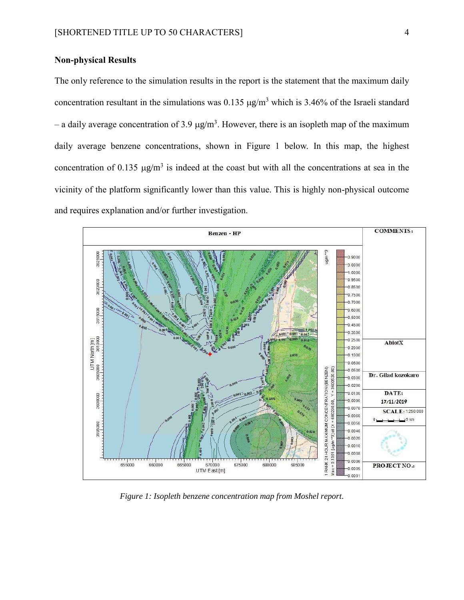# **Non-physical Results**

The only reference to the simulation results in the report is the statement that the maximum daily concentration resultant in the simulations was  $0.135 \mu g/m^3$  which is 3.46% of the Israeli standard – a daily average concentration of 3.9  $\mu$ g/m<sup>3</sup>. However, there is an isopleth map of the maximum daily average benzene concentrations, shown in [Figure 1](#page-3-0) below. In this map, the highest concentration of 0.135  $\mu$ g/m<sup>3</sup> is indeed at the coast but with all the concentrations at sea in the vicinity of the platform significantly lower than this value. This is highly non-physical outcome and requires explanation and/or further investigation.



<span id="page-3-0"></span>*Figure 1: Isopleth benzene concentration map from Moshel report.*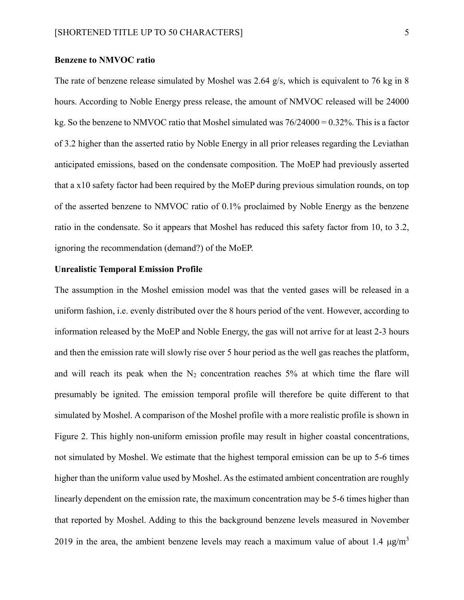### **Benzene to NMVOC ratio**

The rate of benzene release simulated by Moshel was 2.64 g/s, which is equivalent to 76 kg in 8 hours. According to Noble Energy press release, the amount of NMVOC released will be 24000 kg. So the benzene to NMVOC ratio that Moshel simulated was  $76/24000 = 0.32\%$ . This is a factor of 3.2 higher than the asserted ratio by Noble Energy in all prior releases regarding the Leviathan anticipated emissions, based on the condensate composition. The MoEP had previously asserted that a x10 safety factor had been required by the MoEP during previous simulation rounds, on top of the asserted benzene to NMVOC ratio of 0.1% proclaimed by Noble Energy as the benzene ratio in the condensate. So it appears that Moshel has reduced this safety factor from 10, to 3.2, ignoring the recommendation (demand?) of the MoEP.

#### **Unrealistic Temporal Emission Profile**

The assumption in the Moshel emission model was that the vented gases will be released in a uniform fashion, i.e. evenly distributed over the 8 hours period of the vent. However, according to information released by the MoEP and Noble Energy, the gas will not arrive for at least 2-3 hours and then the emission rate will slowly rise over 5 hour period as the well gas reaches the platform, and will reach its peak when the  $N_2$  concentration reaches 5% at which time the flare will presumably be ignited. The emission temporal profile will therefore be quite different to that simulated by Moshel. A comparison of the Moshel profile with a more realistic profile is shown in [Figure 2.](#page-5-0) This highly non-uniform emission profile may result in higher coastal concentrations, not simulated by Moshel. We estimate that the highest temporal emission can be up to 5-6 times higher than the uniform value used by Moshel. As the estimated ambient concentration are roughly linearly dependent on the emission rate, the maximum concentration may be 5-6 times higher than that reported by Moshel. Adding to this the background benzene levels measured in November 2019 in the area, the ambient benzene levels may reach a maximum value of about 1.4  $\mu$ g/m<sup>3</sup>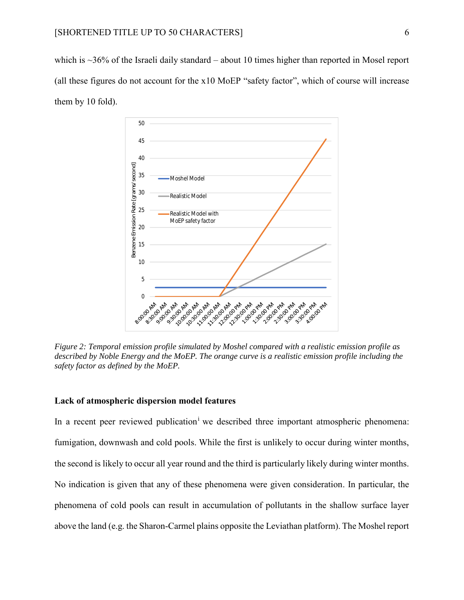which is  $\sim$ 36% of the Israeli daily standard – about 10 times higher than reported in Mosel report (all these figures do not account for the x10 MoEP "safety factor", which of course will increase them by 10 fold).



<span id="page-5-0"></span>*Figure 2: Temporal emission profile simulated by Moshel compared with a realistic emission profile as described by Noble Energy and the MoEP. The orange curve is a realistic emission profile including the safety factor as defined by the MoEP.* 

## **Lack of atmospheric dispersion model features**

In a recent peer reviewed publication<sup>i</sup> we described three important atmospheric phenomena: fumigation, downwash and cold pools. While the first is unlikely to occur during winter months, the second is likely to occur all year round and the third is particularly likely during winter months. No indication is given that any of these phenomena were given consideration. In particular, the phenomena of cold pools can result in accumulation of pollutants in the shallow surface layer above the land (e.g. the Sharon-Carmel plains opposite the Leviathan platform). The Moshel report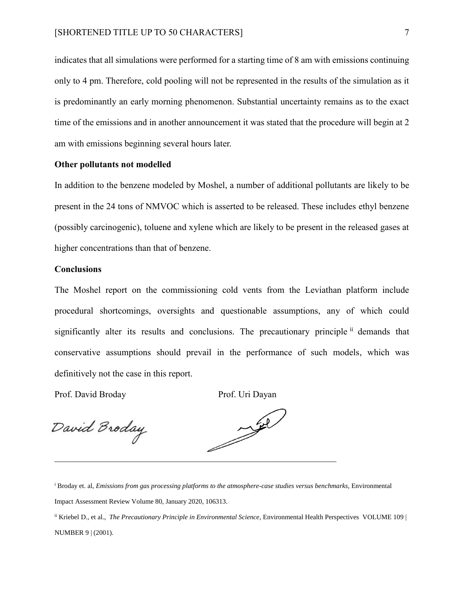indicates that all simulations were performed for a starting time of 8 am with emissions continuing only to 4 pm. Therefore, cold pooling will not be represented in the results of the simulation as it is predominantly an early morning phenomenon. Substantial uncertainty remains as to the exact time of the emissions and in another announcement it was stated that the procedure will begin at 2 am with emissions beginning several hours later.

## **Other pollutants not modelled**

In addition to the benzene modeled by Moshel, a number of additional pollutants are likely to be present in the 24 tons of NMVOC which is asserted to be released. These includes ethyl benzene (possibly carcinogenic), toluene and xylene which are likely to be present in the released gases at higher concentrations than that of benzene.

#### **Conclusions**

The Moshel report on the commissioning cold vents from the Leviathan platform include procedural shortcomings, oversights and questionable assumptions, any of which could significantly alter its results and conclusions. The precautionary principle ii demands that conservative assumptions should prevail in the performance of such models, which was definitively not the case in this report.

Prof. David Broday Prof. Uri Dayan

David Broday



<sup>i</sup> Broday et. al, *Emissions from gas processing platforms to the atmosphere-case studies versus benchmarks*, Environmental Impact Assessment Review Volume 80, January 2020, 106313.

ii Kriebel D., et al., *The Precautionary Principle in Environmental Science*, Environmental Health Perspectives VOLUME 109 | NUMBER 9 | (2001).